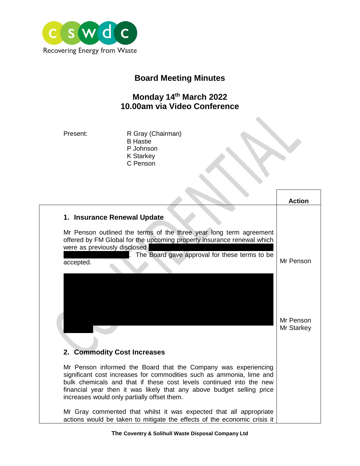

## **Board Meeting Minutes**

## **Monday 14th March 2022 10.00am via Video Conference**

Present: R Gray (Chairman) B Hastie P Johnson K Starkey C Penson

|                                                                                                                                                                                                                                                                                                                                       | <b>Action</b>           |
|---------------------------------------------------------------------------------------------------------------------------------------------------------------------------------------------------------------------------------------------------------------------------------------------------------------------------------------|-------------------------|
| 1. Insurance Renewal Update                                                                                                                                                                                                                                                                                                           |                         |
| Mr Penson outlined the terms of the three year long term agreement<br>offered by FM Global for the upcoming property insurance renewal which<br>were as previously disclosed<br>The Board gave approval for these terms to be<br>accepted.                                                                                            | Mr Penson               |
|                                                                                                                                                                                                                                                                                                                                       | Mr Penson<br>Mr Starkey |
| 2. Commodity Cost Increases                                                                                                                                                                                                                                                                                                           |                         |
| Mr Penson informed the Board that the Company was experiencing<br>significant cost increases for commodities such as ammonia, lime and<br>bulk chemicals and that if these cost levels continued into the new<br>financial year then it was likely that any above budget selling price<br>increases would only partially offset them. |                         |
| Mr Gray commented that whilst it was expected that all appropriate<br>actions would be taken to mitigate the effects of the economic crisis it                                                                                                                                                                                        |                         |